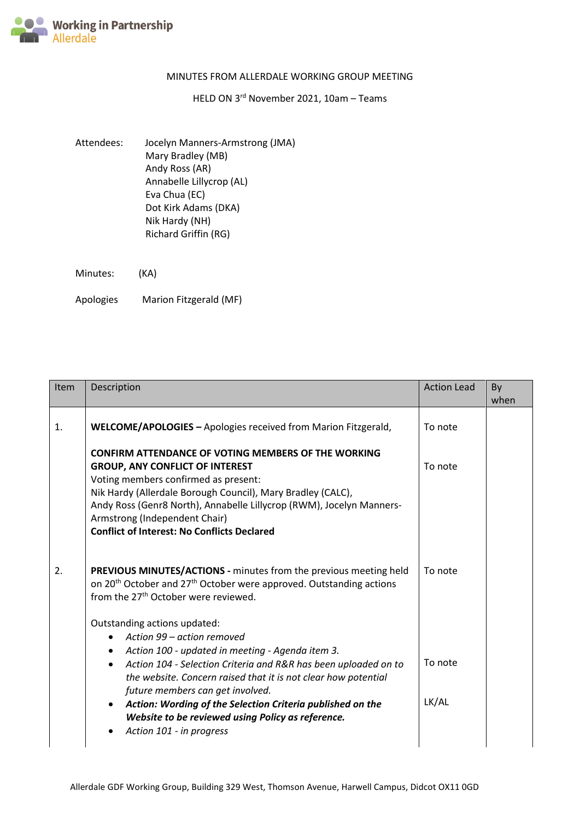

## MINUTES FROM ALLERDALE WORKING GROUP MEETING

## HELD ON 3<sup>rd</sup> November 2021, 10am - Teams

Attendees: Jocelyn Manners-Armstrong (JMA) Mary Bradley (MB) Andy Ross (AR) Annabelle Lillycrop (AL) Eva Chua (EC) Dot Kirk Adams (DKA) Nik Hardy (NH) Richard Griffin (RG)

Minutes: (KA)

Apologies Marion Fitzgerald (MF)

| <b>Item</b> | Description                                                                                                                                                                                                                                                                                                                                                                                                                                                      | <b>Action Lead</b> | By<br>when |
|-------------|------------------------------------------------------------------------------------------------------------------------------------------------------------------------------------------------------------------------------------------------------------------------------------------------------------------------------------------------------------------------------------------------------------------------------------------------------------------|--------------------|------------|
| 1.          | WELCOME/APOLOGIES - Apologies received from Marion Fitzgerald,                                                                                                                                                                                                                                                                                                                                                                                                   | To note            |            |
|             | <b>CONFIRM ATTENDANCE OF VOTING MEMBERS OF THE WORKING</b><br><b>GROUP, ANY CONFLICT OF INTEREST</b><br>Voting members confirmed as present:<br>Nik Hardy (Allerdale Borough Council), Mary Bradley (CALC),<br>Andy Ross (Genr8 North), Annabelle Lillycrop (RWM), Jocelyn Manners-<br>Armstrong (Independent Chair)<br><b>Conflict of Interest: No Conflicts Declared</b>                                                                                       | To note            |            |
| 2.          | PREVIOUS MINUTES/ACTIONS - minutes from the previous meeting held<br>on 20 <sup>th</sup> October and 27 <sup>th</sup> October were approved. Outstanding actions<br>from the 27 <sup>th</sup> October were reviewed.                                                                                                                                                                                                                                             | To note            |            |
|             | Outstanding actions updated:<br>Action 99 - action removed<br>Action 100 - updated in meeting - Agenda item 3.<br>Action 104 - Selection Criteria and R&R has been uploaded on to<br>$\bullet$<br>the website. Concern raised that it is not clear how potential<br>future members can get involved.<br>Action: Wording of the Selection Criteria published on the<br>$\bullet$<br>Website to be reviewed using Policy as reference.<br>Action 101 - in progress | To note<br>LK/AL   |            |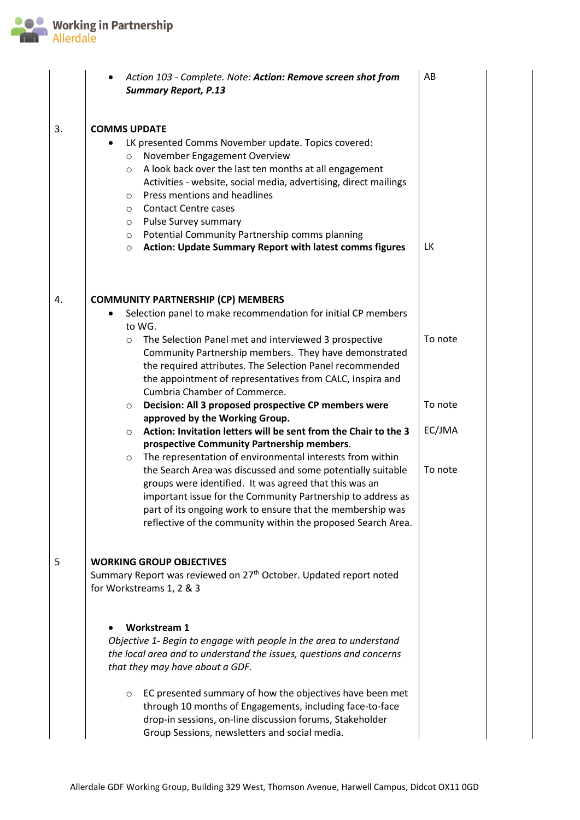

|    | Action 103 - Complete. Note: Action: Remove screen shot from<br><b>Summary Report, P.13</b>                                                                                                                                                                                                                                                                                                                                                                                                   | AB        |  |  |  |  |  |
|----|-----------------------------------------------------------------------------------------------------------------------------------------------------------------------------------------------------------------------------------------------------------------------------------------------------------------------------------------------------------------------------------------------------------------------------------------------------------------------------------------------|-----------|--|--|--|--|--|
| 3. | <b>COMMS UPDATE</b>                                                                                                                                                                                                                                                                                                                                                                                                                                                                           |           |  |  |  |  |  |
|    | LK presented Comms November update. Topics covered:<br>November Engagement Overview<br>$\circ$<br>A look back over the last ten months at all engagement<br>$\circ$<br>Activities - website, social media, advertising, direct mailings<br>Press mentions and headlines<br>O<br><b>Contact Centre cases</b><br>$\circ$<br>Pulse Survey summary<br>O<br>Potential Community Partnership comms planning<br>$\circ$<br><b>Action: Update Summary Report with latest comms figures</b><br>$\circ$ | <b>LK</b> |  |  |  |  |  |
| 4. | <b>COMMUNITY PARTNERSHIP (CP) MEMBERS</b>                                                                                                                                                                                                                                                                                                                                                                                                                                                     |           |  |  |  |  |  |
|    | Selection panel to make recommendation for initial CP members<br>$\bullet$                                                                                                                                                                                                                                                                                                                                                                                                                    |           |  |  |  |  |  |
|    | to WG.                                                                                                                                                                                                                                                                                                                                                                                                                                                                                        |           |  |  |  |  |  |
|    | The Selection Panel met and interviewed 3 prospective<br>$\circ$<br>Community Partnership members. They have demonstrated                                                                                                                                                                                                                                                                                                                                                                     | To note   |  |  |  |  |  |
|    | the required attributes. The Selection Panel recommended                                                                                                                                                                                                                                                                                                                                                                                                                                      |           |  |  |  |  |  |
|    | the appointment of representatives from CALC, Inspira and                                                                                                                                                                                                                                                                                                                                                                                                                                     |           |  |  |  |  |  |
|    | Cumbria Chamber of Commerce.                                                                                                                                                                                                                                                                                                                                                                                                                                                                  |           |  |  |  |  |  |
|    | Decision: All 3 proposed prospective CP members were<br>$\circ$                                                                                                                                                                                                                                                                                                                                                                                                                               | To note   |  |  |  |  |  |
|    | approved by the Working Group.<br>Action: Invitation letters will be sent from the Chair to the 3<br>$\circ$                                                                                                                                                                                                                                                                                                                                                                                  | EC/JMA    |  |  |  |  |  |
|    | prospective Community Partnership members.                                                                                                                                                                                                                                                                                                                                                                                                                                                    |           |  |  |  |  |  |
|    | The representation of environmental interests from within<br>$\circ$                                                                                                                                                                                                                                                                                                                                                                                                                          |           |  |  |  |  |  |
|    | the Search Area was discussed and some potentially suitable<br>groups were identified. It was agreed that this was an<br>important issue for the Community Partnership to address as<br>part of its ongoing work to ensure that the membership was<br>reflective of the community within the proposed Search Area.                                                                                                                                                                            | To note   |  |  |  |  |  |
| 5  | <b>WORKING GROUP OBJECTIVES</b>                                                                                                                                                                                                                                                                                                                                                                                                                                                               |           |  |  |  |  |  |
|    | Summary Report was reviewed on 27 <sup>th</sup> October. Updated report noted<br>for Workstreams 1, 2 & 3                                                                                                                                                                                                                                                                                                                                                                                     |           |  |  |  |  |  |
|    | <b>Workstream 1</b>                                                                                                                                                                                                                                                                                                                                                                                                                                                                           |           |  |  |  |  |  |
|    | Objective 1- Begin to engage with people in the area to understand<br>the local area and to understand the issues, questions and concerns<br>that they may have about a GDF.                                                                                                                                                                                                                                                                                                                  |           |  |  |  |  |  |
|    | EC presented summary of how the objectives have been met<br>$\circ$<br>through 10 months of Engagements, including face-to-face<br>drop-in sessions, on-line discussion forums, Stakeholder<br>Group Sessions, newsletters and social media.                                                                                                                                                                                                                                                  |           |  |  |  |  |  |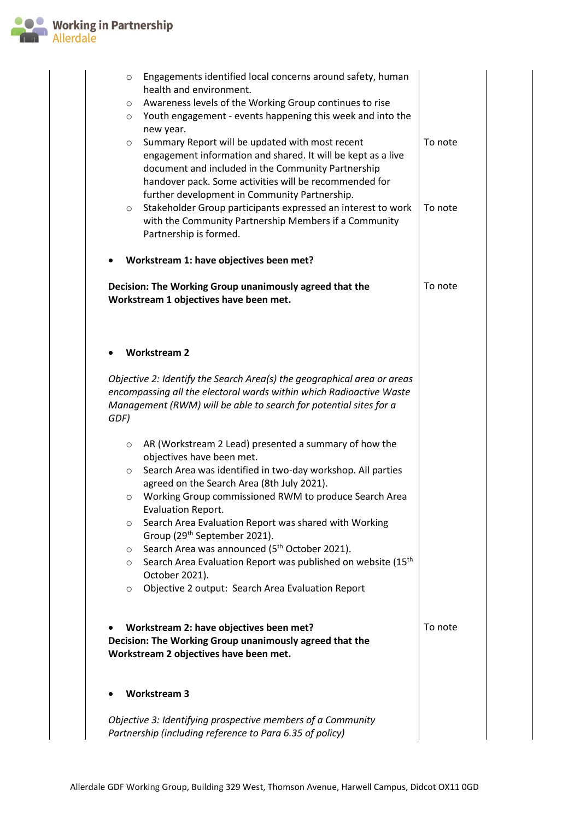

|                                                                                                   | O<br>O<br>$\circ$ | Engagements identified local concerns around safety, human<br>health and environment.<br>Awareness levels of the Working Group continues to rise<br>Youth engagement - events happening this week and into the                               |         |
|---------------------------------------------------------------------------------------------------|-------------------|----------------------------------------------------------------------------------------------------------------------------------------------------------------------------------------------------------------------------------------------|---------|
|                                                                                                   | $\circ$           | new year.<br>Summary Report will be updated with most recent<br>engagement information and shared. It will be kept as a live<br>document and included in the Community Partnership<br>handover pack. Some activities will be recommended for | To note |
|                                                                                                   | $\circ$           | further development in Community Partnership.<br>Stakeholder Group participants expressed an interest to work<br>with the Community Partnership Members if a Community<br>Partnership is formed.                                             | To note |
|                                                                                                   |                   | Workstream 1: have objectives been met?                                                                                                                                                                                                      |         |
|                                                                                                   |                   | Decision: The Working Group unanimously agreed that the<br>Workstream 1 objectives have been met.                                                                                                                                            | To note |
|                                                                                                   |                   |                                                                                                                                                                                                                                              |         |
|                                                                                                   |                   | <b>Workstream 2</b>                                                                                                                                                                                                                          |         |
| GDF)                                                                                              |                   | Objective 2: Identify the Search Area(s) the geographical area or areas<br>encompassing all the electoral wards within which Radioactive Waste<br>Management (RWM) will be able to search for potential sites for a                          |         |
|                                                                                                   | O                 | AR (Workstream 2 Lead) presented a summary of how the<br>objectives have been met.                                                                                                                                                           |         |
|                                                                                                   | $\circ$           | Search Area was identified in two-day workshop. All parties<br>agreed on the Search Area (8th July 2021).                                                                                                                                    |         |
|                                                                                                   | O                 | Working Group commissioned RWM to produce Search Area<br><b>Evaluation Report.</b>                                                                                                                                                           |         |
|                                                                                                   | $\circ$           | Search Area Evaluation Report was shared with Working<br>Group (29 <sup>th</sup> September 2021).                                                                                                                                            |         |
|                                                                                                   | O<br>O            | Search Area was announced (5 <sup>th</sup> October 2021).<br>Search Area Evaluation Report was published on website (15 <sup>th</sup> )                                                                                                      |         |
|                                                                                                   | O                 | October 2021).<br>Objective 2 output: Search Area Evaluation Report                                                                                                                                                                          |         |
|                                                                                                   |                   |                                                                                                                                                                                                                                              |         |
| Decision: The Working Group unanimously agreed that the<br>Workstream 2 objectives have been met. | To note           |                                                                                                                                                                                                                                              |         |
|                                                                                                   |                   | <b>Workstream 3</b>                                                                                                                                                                                                                          |         |
|                                                                                                   |                   | Objective 3: Identifying prospective members of a Community<br>Partnership (including reference to Para 6.35 of policy)                                                                                                                      |         |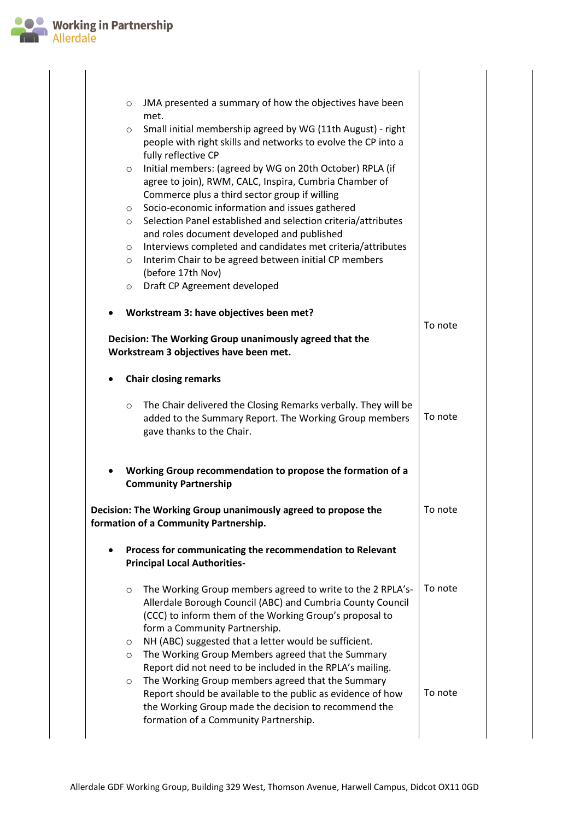

|           | JMA presented a summary of how the objectives have been<br>$\circ$<br>met.                                                                                                                                                      |         |  |  |  |  |
|-----------|---------------------------------------------------------------------------------------------------------------------------------------------------------------------------------------------------------------------------------|---------|--|--|--|--|
|           | Small initial membership agreed by WG (11th August) - right<br>$\circ$<br>people with right skills and networks to evolve the CP into a<br>fully reflective CP                                                                  |         |  |  |  |  |
|           | Initial members: (agreed by WG on 20th October) RPLA (if<br>$\circ$<br>agree to join), RWM, CALC, Inspira, Cumbria Chamber of<br>Commerce plus a third sector group if willing                                                  |         |  |  |  |  |
|           | Socio-economic information and issues gathered<br>$\circ$<br>Selection Panel established and selection criteria/attributes<br>$\circ$                                                                                           |         |  |  |  |  |
|           | and roles document developed and published<br>Interviews completed and candidates met criteria/attributes<br>$\circ$<br>Interim Chair to be agreed between initial CP members<br>O<br>(before 17th Nov)                         |         |  |  |  |  |
|           | Draft CP Agreement developed<br>$\circ$                                                                                                                                                                                         |         |  |  |  |  |
|           | Workstream 3: have objectives been met?                                                                                                                                                                                         |         |  |  |  |  |
|           | Decision: The Working Group unanimously agreed that the<br>Workstream 3 objectives have been met.                                                                                                                               |         |  |  |  |  |
| ٠         | <b>Chair closing remarks</b>                                                                                                                                                                                                    |         |  |  |  |  |
|           | The Chair delivered the Closing Remarks verbally. They will be<br>$\circ$<br>added to the Summary Report. The Working Group members<br>gave thanks to the Chair.                                                                | To note |  |  |  |  |
|           | Working Group recommendation to propose the formation of a<br><b>Community Partnership</b>                                                                                                                                      |         |  |  |  |  |
|           | Decision: The Working Group unanimously agreed to propose the<br>formation of a Community Partnership.                                                                                                                          | To note |  |  |  |  |
| $\bullet$ | Process for communicating the recommendation to Relevant<br><b>Principal Local Authorities-</b>                                                                                                                                 |         |  |  |  |  |
|           | The Working Group members agreed to write to the 2 RPLA's-<br>$\circ$<br>Allerdale Borough Council (ABC) and Cumbria County Council<br>(CCC) to inform them of the Working Group's proposal to<br>form a Community Partnership. | To note |  |  |  |  |
|           | NH (ABC) suggested that a letter would be sufficient.<br>$\circ$<br>The Working Group Members agreed that the Summary<br>$\circ$<br>Report did not need to be included in the RPLA's mailing.                                   |         |  |  |  |  |
|           | The Working Group members agreed that the Summary<br>$\circ$<br>Report should be available to the public as evidence of how<br>the Working Group made the decision to recommend the<br>formation of a Community Partnership.    | To note |  |  |  |  |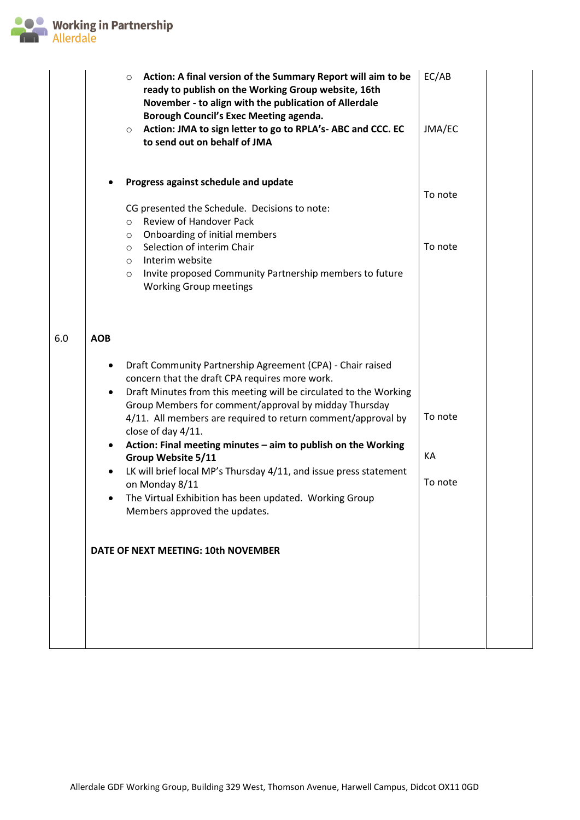

|     | Action: A final version of the Summary Report will aim to be<br>$\circ$<br>ready to publish on the Working Group website, 16th<br>November - to align with the publication of Allerdale<br>Borough Council's Exec Meeting agenda.<br>Action: JMA to sign letter to go to RPLA's-ABC and CCC. EC<br>$\circ$<br>to send out on behalf of JMA                                                                                                              | EC/AB<br>JMA/EC    |
|-----|---------------------------------------------------------------------------------------------------------------------------------------------------------------------------------------------------------------------------------------------------------------------------------------------------------------------------------------------------------------------------------------------------------------------------------------------------------|--------------------|
|     | Progress against schedule and update<br>CG presented the Schedule. Decisions to note:<br>Review of Handover Pack<br>$\circ$<br>Onboarding of initial members<br>$\circ$<br>Selection of interim Chair<br>$\circ$<br>Interim website<br>$\circ$<br>Invite proposed Community Partnership members to future<br>$\circ$<br><b>Working Group meetings</b>                                                                                                   | To note<br>To note |
| 6.0 | <b>AOB</b><br>Draft Community Partnership Agreement (CPA) - Chair raised<br>٠<br>concern that the draft CPA requires more work.<br>Draft Minutes from this meeting will be circulated to the Working<br>Group Members for comment/approval by midday Thursday<br>4/11. All members are required to return comment/approval by<br>close of day 4/11.<br>Action: Final meeting minutes - aim to publish on the Working<br>$\bullet$<br>Group Website 5/11 | To note<br>KA      |
|     | LK will brief local MP's Thursday 4/11, and issue press statement<br>$\bullet$<br>on Monday 8/11<br>The Virtual Exhibition has been updated. Working Group<br>Members approved the updates.<br>DATE OF NEXT MEETING: 10th NOVEMBER                                                                                                                                                                                                                      | To note            |
|     |                                                                                                                                                                                                                                                                                                                                                                                                                                                         |                    |